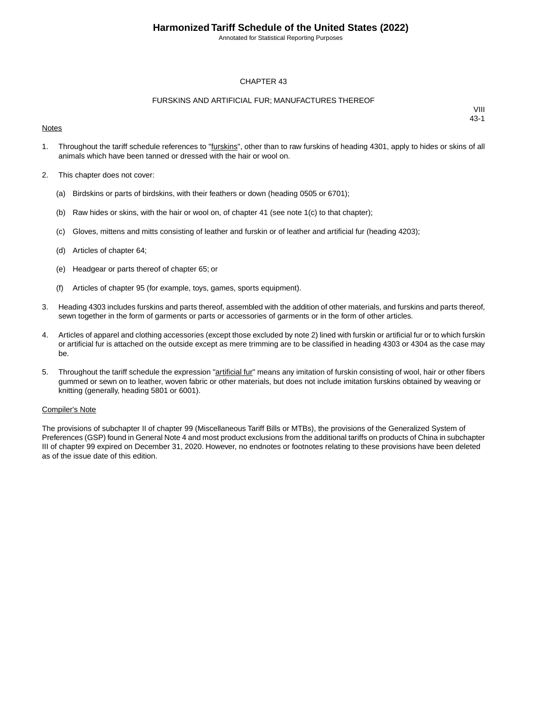Annotated for Statistical Reporting Purposes

#### CHAPTER 43

#### FURSKINS AND ARTIFICIAL FUR; MANUFACTURES THEREOF

#### **Notes**

VIII 43-1

- 1. Throughout the tariff schedule references to "furskins", other than to raw furskins of heading 4301, apply to hides or skins of all animals which have been tanned or dressed with the hair or wool on.
- 2. This chapter does not cover:
	- (a) Birdskins or parts of birdskins, with their feathers or down (heading 0505 or 6701);
	- (b) Raw hides or skins, with the hair or wool on, of chapter 41 (see note  $1(c)$  to that chapter);
	- (c) Gloves, mittens and mitts consisting of leather and furskin or of leather and artificial fur (heading 4203);
	- (d) Articles of chapter 64;
	- (e) Headgear or parts thereof of chapter 65; or
	- (f) Articles of chapter 95 (for example, toys, games, sports equipment).
- 3. Heading 4303 includes furskins and parts thereof, assembled with the addition of other materials, and furskins and parts thereof, sewn together in the form of garments or parts or accessories of garments or in the form of other articles.
- 4. Articles of apparel and clothing accessories (except those excluded by note 2) lined with furskin or artificial fur or to which furskin or artificial fur is attached on the outside except as mere trimming are to be classified in heading 4303 or 4304 as the case may be.
- 5. Throughout the tariff schedule the expression "artificial fur" means any imitation of furskin consisting of wool, hair or other fibers gummed or sewn on to leather, woven fabric or other materials, but does not include imitation furskins obtained by weaving or knitting (generally, heading 5801 or 6001).

#### Compiler's Note

The provisions of subchapter II of chapter 99 (Miscellaneous Tariff Bills or MTBs), the provisions of the Generalized System of Preferences (GSP) found in General Note 4 and most product exclusions from the additional tariffs on products of China in subchapter III of chapter 99 expired on December 31, 2020. However, no endnotes or footnotes relating to these provisions have been deleted as of the issue date of this edition.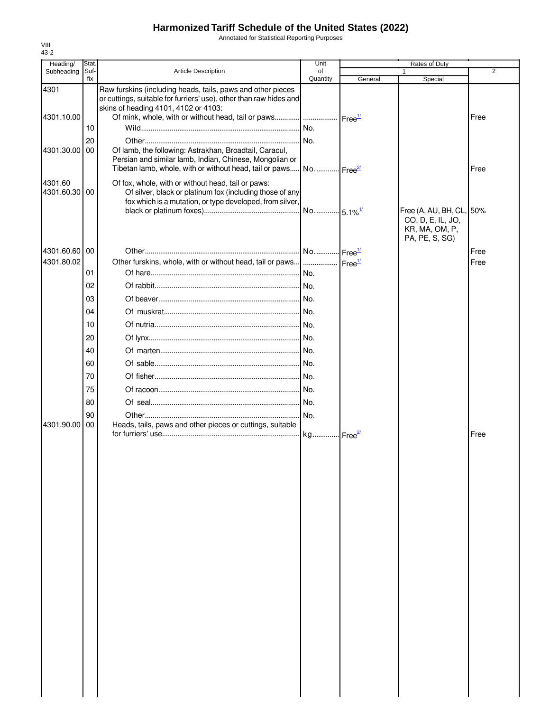Annotated for Statistical Reporting Purposes

| Heading/                 | Stat.       |                                                                                                                                                                           | Unit           |                    | Rates of Duty                                                                     |      |  |
|--------------------------|-------------|---------------------------------------------------------------------------------------------------------------------------------------------------------------------------|----------------|--------------------|-----------------------------------------------------------------------------------|------|--|
| Subheading               | Suf-<br>fix | <b>Article Description</b>                                                                                                                                                | of<br>Quantity | General            | $\mathbf{1}$<br>Special                                                           | 2    |  |
| 4301                     |             | Raw furskins (including heads, tails, paws and other pieces<br>or cuttings, suitable for furriers' use), other than raw hides and<br>skins of heading 4101, 4102 or 4103: |                |                    |                                                                                   |      |  |
| 4301.10.00               |             | Of mink, whole, with or without head, tail or paws    Free <sup>1/</sup>                                                                                                  |                |                    |                                                                                   | Free |  |
|                          | 10          |                                                                                                                                                                           |                |                    |                                                                                   |      |  |
|                          | 20          |                                                                                                                                                                           |                |                    |                                                                                   |      |  |
| 4301.30.00               | 00          | Of lamb, the following: Astrakhan, Broadtail, Caracul,                                                                                                                    |                |                    |                                                                                   |      |  |
|                          |             | Persian and similar lamb, Indian, Chinese, Mongolian or<br>Tibetan lamb, whole, with or without head, tail or paws No Free <sup>21</sup>                                  |                |                    |                                                                                   | Free |  |
|                          |             |                                                                                                                                                                           |                |                    |                                                                                   |      |  |
| 4301.60<br>4301.60.30 00 |             | Of fox, whole, with or without head, tail or paws:<br>Of silver, black or platinum fox (including those of any                                                            |                |                    |                                                                                   |      |  |
|                          |             | fox which is a mutation, or type developed, from silver,                                                                                                                  |                |                    |                                                                                   |      |  |
|                          |             |                                                                                                                                                                           |                |                    | Free (A, AU, BH, CL, 50%<br>CO, D, E, IL, JO,<br>KR, MA, OM, P,<br>PA, PE, S, SG) |      |  |
| 4301.60.60 00            |             |                                                                                                                                                                           |                |                    |                                                                                   | Free |  |
| 4301.80.02               |             | Other furskins, whole, with or without head, tail or paws                                                                                                                 |                | Free <sup>1/</sup> |                                                                                   | Free |  |
|                          | 01          |                                                                                                                                                                           |                |                    |                                                                                   |      |  |
|                          | 02          |                                                                                                                                                                           |                |                    |                                                                                   |      |  |
|                          | 03          |                                                                                                                                                                           |                |                    |                                                                                   |      |  |
|                          | 04          |                                                                                                                                                                           |                |                    |                                                                                   |      |  |
|                          | 10          |                                                                                                                                                                           |                |                    |                                                                                   |      |  |
|                          | 20          |                                                                                                                                                                           |                |                    |                                                                                   |      |  |
|                          | 40          |                                                                                                                                                                           |                |                    |                                                                                   |      |  |
|                          | 60          |                                                                                                                                                                           |                |                    |                                                                                   |      |  |
|                          | 70          |                                                                                                                                                                           |                |                    |                                                                                   |      |  |
|                          | 75          |                                                                                                                                                                           |                |                    |                                                                                   |      |  |
|                          | 80          |                                                                                                                                                                           |                |                    |                                                                                   |      |  |
|                          | 90          |                                                                                                                                                                           | No.            |                    |                                                                                   |      |  |
| 4301.90.00               | 00          | Heads, tails, paws and other pieces or cuttings, suitable                                                                                                                 |                |                    |                                                                                   | Free |  |
|                          |             |                                                                                                                                                                           |                |                    |                                                                                   |      |  |
|                          |             |                                                                                                                                                                           |                |                    |                                                                                   |      |  |
|                          |             |                                                                                                                                                                           |                |                    |                                                                                   |      |  |
|                          |             |                                                                                                                                                                           |                |                    |                                                                                   |      |  |
|                          |             |                                                                                                                                                                           |                |                    |                                                                                   |      |  |
|                          |             |                                                                                                                                                                           |                |                    |                                                                                   |      |  |
|                          |             |                                                                                                                                                                           |                |                    |                                                                                   |      |  |
|                          |             |                                                                                                                                                                           |                |                    |                                                                                   |      |  |
|                          |             |                                                                                                                                                                           |                |                    |                                                                                   |      |  |
|                          |             |                                                                                                                                                                           |                |                    |                                                                                   |      |  |
|                          |             |                                                                                                                                                                           |                |                    |                                                                                   |      |  |
|                          |             |                                                                                                                                                                           |                |                    |                                                                                   |      |  |
|                          |             |                                                                                                                                                                           |                |                    |                                                                                   |      |  |
|                          |             |                                                                                                                                                                           |                |                    |                                                                                   |      |  |
|                          |             |                                                                                                                                                                           |                |                    |                                                                                   |      |  |
|                          |             |                                                                                                                                                                           |                |                    |                                                                                   |      |  |
|                          |             |                                                                                                                                                                           |                |                    |                                                                                   |      |  |
|                          |             |                                                                                                                                                                           |                |                    |                                                                                   |      |  |
|                          |             |                                                                                                                                                                           |                |                    |                                                                                   |      |  |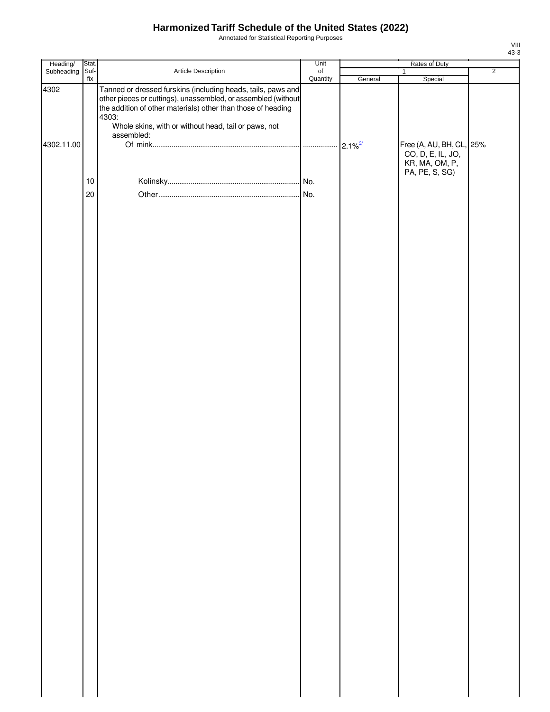Annotated for Statistical Reporting Purposes

| Heading/   | Stat. |                                                                                                                                                                                                                                                                | Unit      | Rates of Duty         |                                                                 |                |
|------------|-------|----------------------------------------------------------------------------------------------------------------------------------------------------------------------------------------------------------------------------------------------------------------|-----------|-----------------------|-----------------------------------------------------------------|----------------|
| Subheading | Suf-  | Article Description                                                                                                                                                                                                                                            | $\circ$ f |                       | $\mathbf{1}$                                                    | $\overline{2}$ |
| 4302       | fix   | Tanned or dressed furskins (including heads, tails, paws and<br>other pieces or cuttings), unassembled, or assembled (without<br>the addition of other materials) other than those of heading<br>4303:<br>Whole skins, with or without head, tail or paws, not | Quantity  | General               | Special                                                         |                |
| 4302.11.00 |       | assembled:                                                                                                                                                                                                                                                     |           | $2.1\%$ <sup>3/</sup> | Free (A, AU, BH, CL, 25%<br>CO, D, E, IL, JO,<br>KR, MA, OM, P, |                |
|            | $10$  |                                                                                                                                                                                                                                                                |           |                       | PA, PE, S, SG)                                                  |                |
|            |       |                                                                                                                                                                                                                                                                |           |                       |                                                                 |                |
|            | 20    |                                                                                                                                                                                                                                                                |           |                       |                                                                 |                |
|            |       |                                                                                                                                                                                                                                                                |           |                       |                                                                 |                |
|            |       |                                                                                                                                                                                                                                                                |           |                       |                                                                 |                |
|            |       |                                                                                                                                                                                                                                                                |           |                       |                                                                 |                |
|            |       |                                                                                                                                                                                                                                                                |           |                       |                                                                 |                |
|            |       |                                                                                                                                                                                                                                                                |           |                       |                                                                 |                |
|            |       |                                                                                                                                                                                                                                                                |           |                       |                                                                 |                |
|            |       |                                                                                                                                                                                                                                                                |           |                       |                                                                 |                |
|            |       |                                                                                                                                                                                                                                                                |           |                       |                                                                 |                |
|            |       |                                                                                                                                                                                                                                                                |           |                       |                                                                 |                |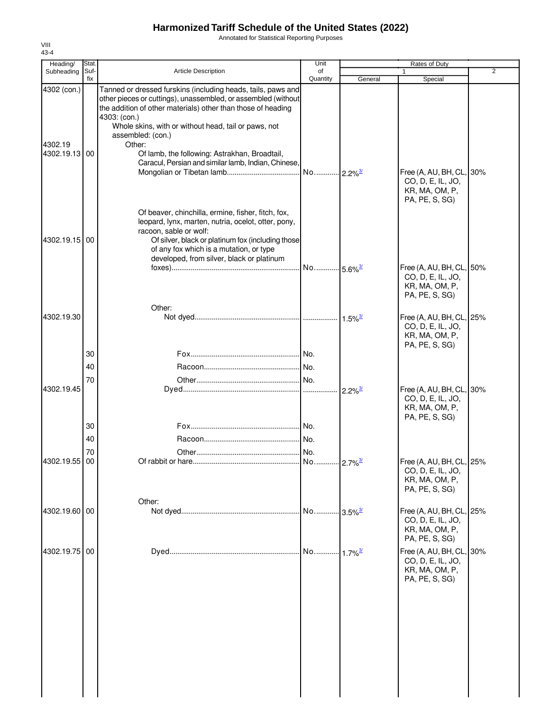Annotated for Statistical Reporting Purposes

| Heading/                                | Stat.       |                                                                                                                                                                                                                                                                                                                                                                                                              | Unit                  |                             |                                                                                   |                |
|-----------------------------------------|-------------|--------------------------------------------------------------------------------------------------------------------------------------------------------------------------------------------------------------------------------------------------------------------------------------------------------------------------------------------------------------------------------------------------------------|-----------------------|-----------------------------|-----------------------------------------------------------------------------------|----------------|
| Subheading                              | Suf-<br>fix | <b>Article Description</b>                                                                                                                                                                                                                                                                                                                                                                                   | of<br>Quantity        | General                     | 1<br>Special                                                                      | $\overline{2}$ |
| 4302 (con.)<br>4302.19<br>4302.19.13 00 |             | Tanned or dressed furskins (including heads, tails, paws and<br>other pieces or cuttings), unassembled, or assembled (without<br>the addition of other materials) other than those of heading<br>4303: (con.)<br>Whole skins, with or without head, tail or paws, not<br>assembled: (con.)<br>Other:<br>Of lamb, the following: Astrakhan, Broadtail,<br>Caracul, Persian and similar lamb, Indian, Chinese, | No 2.2% <sup>3/</sup> |                             | Free (A, AU, BH, CL, 30%<br>CO, D, E, IL, JO,<br>KR, MA, OM, P,<br>PA, PE, S, SG) |                |
| 4302.19.15 00                           |             | Of beaver, chinchilla, ermine, fisher, fitch, fox,<br>leopard, lynx, marten, nutria, ocelot, otter, pony,<br>racoon, sable or wolf:<br>Of silver, black or platinum fox (including those<br>of any fox which is a mutation, or type<br>developed, from silver, black or platinum                                                                                                                             |                       |                             |                                                                                   |                |
|                                         |             |                                                                                                                                                                                                                                                                                                                                                                                                              | No 5.6% <sup>3/</sup> |                             | Free (A, AU, BH, CL, 50%<br>CO, D, E, IL, JO,<br>KR, MA, OM, P,<br>PA, PE, S, SG) |                |
| 4302.19.30                              |             | Other:                                                                                                                                                                                                                                                                                                                                                                                                       |                       | $1.5\%$ <sup>3/</sup>       | Free (A, AU, BH, CL, 25%<br>CO, D, E, IL, JO,<br>KR, MA, OM, P,<br>PA, PE, S, SG) |                |
|                                         | 30          |                                                                                                                                                                                                                                                                                                                                                                                                              |                       |                             |                                                                                   |                |
|                                         | 40          |                                                                                                                                                                                                                                                                                                                                                                                                              |                       |                             |                                                                                   |                |
| 4302.19.45                              | 70          |                                                                                                                                                                                                                                                                                                                                                                                                              |                       | $2.2\%$ <sup>3/</sup>       | Free (A, AU, BH, CL, 30%<br>CO, D, E, IL, JO,<br>KR, MA, OM, P,                   |                |
|                                         | 30          |                                                                                                                                                                                                                                                                                                                                                                                                              |                       |                             | PA, PE, S, SG)                                                                    |                |
|                                         | 40          |                                                                                                                                                                                                                                                                                                                                                                                                              |                       |                             |                                                                                   |                |
|                                         | 70          |                                                                                                                                                                                                                                                                                                                                                                                                              |                       |                             |                                                                                   |                |
| 4302.19.55 00                           |             |                                                                                                                                                                                                                                                                                                                                                                                                              |                       |                             | Free (A, AU, BH, CL, 25%<br>CO, D, E, IL, JO,<br>KR, MA, OM, P,<br>PA, PE, S, SG) |                |
| 4302.19.60 00                           |             | Other:                                                                                                                                                                                                                                                                                                                                                                                                       | No                    | $-3.5\%$ <sup>3/</sup>      | Free (A, AU, BH, CL, 25%<br>CO, D, E, IL, JO,<br>KR, MA, OM, P,<br>PA, PE, S, SG) |                |
| 4302.19.75 00                           |             |                                                                                                                                                                                                                                                                                                                                                                                                              | No                    | $\cdot 1.7\%$ <sup>3/</sup> | Free (A, AU, BH, CL, 30%<br>CO, D, E, IL, JO,<br>KR, MA, OM, P,<br>PA, PE, S, SG) |                |
|                                         |             |                                                                                                                                                                                                                                                                                                                                                                                                              |                       |                             |                                                                                   |                |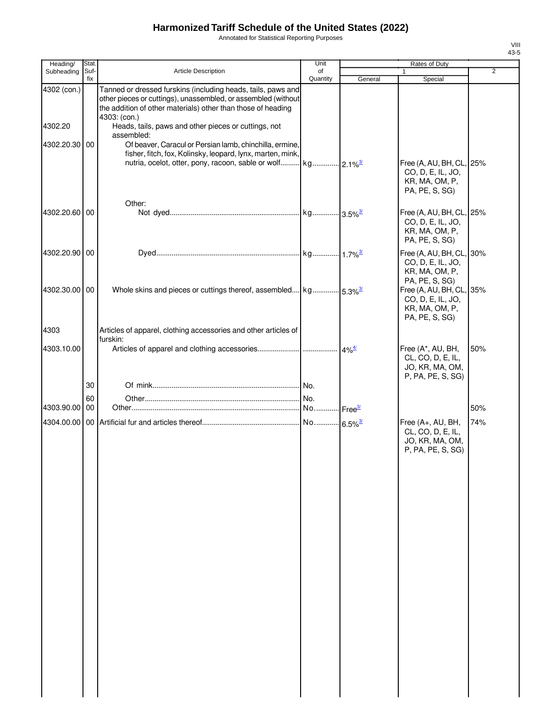Annotated for Statistical Reporting Purposes

| Heading/               | Stat.       |                                                                                                                                                                                                                                                                       | Unit           | Rates of Duty |                                                                                   |                |
|------------------------|-------------|-----------------------------------------------------------------------------------------------------------------------------------------------------------------------------------------------------------------------------------------------------------------------|----------------|---------------|-----------------------------------------------------------------------------------|----------------|
| Subheading             | Suf-<br>fix | <b>Article Description</b>                                                                                                                                                                                                                                            | of<br>Quantity | General       | 1<br>Special                                                                      | $\overline{2}$ |
| 4302 (con.)<br>4302.20 |             | Tanned or dressed furskins (including heads, tails, paws and<br>other pieces or cuttings), unassembled, or assembled (without<br>the addition of other materials) other than those of heading<br>4303: (con.)<br>Heads, tails, paws and other pieces or cuttings, not |                |               |                                                                                   |                |
| 4302.20.30 00          |             | assembled:<br>Of beaver, Caracul or Persian lamb, chinchilla, ermine,<br>fisher, fitch, fox, Kolinsky, leopard, lynx, marten, mink,                                                                                                                                   |                |               |                                                                                   |                |
|                        |             |                                                                                                                                                                                                                                                                       |                |               | Free (A, AU, BH, CL, 25%<br>CO, D, E, IL, JO,<br>KR, MA, OM, P,<br>PA, PE, S, SG) |                |
| 4302.20.60 00          |             | Other:                                                                                                                                                                                                                                                                |                |               | Free (A, AU, BH, CL, 25%<br>CO, D, E, IL, JO,<br>KR, MA, OM, P,<br>PA, PE, S, SG) |                |
| 4302.20.90 00          |             |                                                                                                                                                                                                                                                                       |                |               | Free (A, AU, BH, CL, 30%<br>CO, D, E, IL, JO,<br>KR, MA, OM, P,<br>PA, PE, S, SG) |                |
| 4302.30.00 00          |             | Whole skins and pieces or cuttings thereof, assembled kg 5.3% <sup>3/</sup>                                                                                                                                                                                           |                |               | Free (A, AU, BH, CL, 35%<br>CO, D, E, IL, JO,<br>KR, MA, OM, P,<br>PA, PE, S, SG) |                |
| 4303                   |             | Articles of apparel, clothing accessories and other articles of                                                                                                                                                                                                       |                |               |                                                                                   |                |
| 4303.10.00             |             | furskin:                                                                                                                                                                                                                                                              |                |               | Free (A*, AU, BH,<br>CL, CO, D, E, IL,<br>JO, KR, MA, OM,<br>P, PA, PE, S, SG)    | 50%            |
|                        | 30          |                                                                                                                                                                                                                                                                       | . No.          |               |                                                                                   |                |
|                        | 60          |                                                                                                                                                                                                                                                                       | No.            |               |                                                                                   |                |
| 4303.90.00 00          |             |                                                                                                                                                                                                                                                                       |                |               |                                                                                   | 50%            |
|                        |             |                                                                                                                                                                                                                                                                       |                |               | Free (A+, AU, BH,<br>CL, CO, D, E, IL,<br>JO, KR, MA, OM,                         | 74%            |
|                        |             |                                                                                                                                                                                                                                                                       |                |               | P, PA, PE, S, SG)                                                                 |                |
|                        |             |                                                                                                                                                                                                                                                                       |                |               |                                                                                   |                |
|                        |             |                                                                                                                                                                                                                                                                       |                |               |                                                                                   |                |
|                        |             |                                                                                                                                                                                                                                                                       |                |               |                                                                                   |                |
|                        |             |                                                                                                                                                                                                                                                                       |                |               |                                                                                   |                |
|                        |             |                                                                                                                                                                                                                                                                       |                |               |                                                                                   |                |